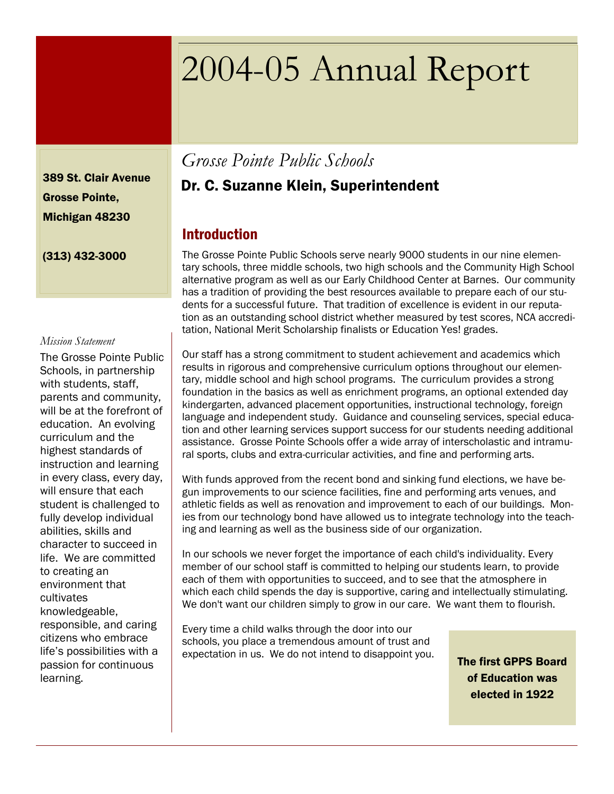# 2004-05 Annual Report

389 St. Clair Avenue Grosse Pointe, Michigan 48230

(313) 432-3000

#### *Mission Statement*

The Grosse Pointe Public Schools, in partnership with students, staff, parents and community, will be at the forefront of education. An evolving curriculum and the highest standards of instruction and learning in every class, every day, will ensure that each student is challenged to fully develop individual abilities, skills and character to succeed in life. We are committed to creating an environment that cultivates knowledgeable, responsible, and caring citizens who embrace life's possibilities with a passion for continuous learning.

# *Grosse Pointe Public Schools*

## Dr. C. Suzanne Klein, Superintendent

#### Introduction

The Grosse Pointe Public Schools serve nearly 9000 students in our nine elementary schools, three middle schools, two high schools and the Community High School alternative program as well as our Early Childhood Center at Barnes. Our community has a tradition of providing the best resources available to prepare each of our students for a successful future. That tradition of excellence is evident in our reputation as an outstanding school district whether measured by test scores, NCA accreditation, National Merit Scholarship finalists or Education Yes! grades.

Our staff has a strong commitment to student achievement and academics which results in rigorous and comprehensive curriculum options throughout our elementary, middle school and high school programs. The curriculum provides a strong foundation in the basics as well as enrichment programs, an optional extended day kindergarten, advanced placement opportunities, instructional technology, foreign language and independent study. Guidance and counseling services, special education and other learning services support success for our students needing additional assistance. Grosse Pointe Schools offer a wide array of interscholastic and intramural sports, clubs and extra-curricular activities, and fine and performing arts.

With funds approved from the recent bond and sinking fund elections, we have begun improvements to our science facilities, fine and performing arts venues, and athletic fields as well as renovation and improvement to each of our buildings. Monies from our technology bond have allowed us to integrate technology into the teaching and learning as well as the business side of our organization.

In our schools we never forget the importance of each child's individuality. Every member of our school staff is committed to helping our students learn, to provide each of them with opportunities to succeed, and to see that the atmosphere in which each child spends the day is supportive, caring and intellectually stimulating. We don't want our children simply to grow in our care. We want them to flourish.

Every time a child walks through the door into our schools, you place a tremendous amount of trust and expectation in us. We do not intend to disappoint you.

The first GPPS Board of Education was elected in 1922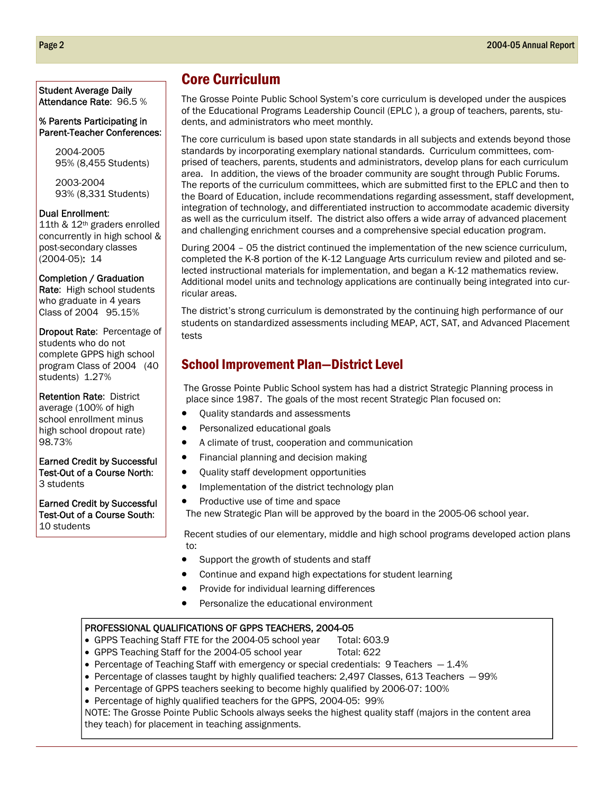#### Student Average Daily Attendance Rate: 96.5 %

#### % Parents Participating in Parent-Teacher Conferences:

2004-2005 95% (8,455 Students)

2003-2004 93% (8,331 Students)

#### Dual Enrollment:

11th & 12th graders enrolled concurrently in high school & post-secondary classes (2004-05): 14

Completion / Graduation

Rate: High school students who graduate in 4 years Class of 2004 95.15%

Dropout Rate: Percentage of students who do not complete GPPS high school program Class of 2004 (40 students) 1.27%

Retention Rate: District average (100% of high school enrollment minus high school dropout rate) 98.73%

Earned Credit by Successful Test-Out of a Course North: 3 students

Earned Credit by Successful Test-Out of a Course South: 10 students

## Core Curriculum

The Grosse Pointe Public School System's core curriculum is developed under the auspices of the Educational Programs Leadership Council (EPLC ), a group of teachers, parents, students, and administrators who meet monthly.

The core curriculum is based upon state standards in all subjects and extends beyond those standards by incorporating exemplary national standards. Curriculum committees, comprised of teachers, parents, students and administrators, develop plans for each curriculum area. In addition, the views of the broader community are sought through Public Forums. The reports of the curriculum committees, which are submitted first to the EPLC and then to the Board of Education, include recommendations regarding assessment, staff development, integration of technology, and differentiated instruction to accommodate academic diversity as well as the curriculum itself. The district also offers a wide array of advanced placement and challenging enrichment courses and a comprehensive special education program.

During 2004 – 05 the district continued the implementation of the new science curriculum, completed the K-8 portion of the K-12 Language Arts curriculum review and piloted and selected instructional materials for implementation, and began a K-12 mathematics review. Additional model units and technology applications are continually being integrated into curricular areas.

The district's strong curriculum is demonstrated by the continuing high performance of our students on standardized assessments including MEAP, ACT, SAT, and Advanced Placement tests

#### School Improvement Plan—District Level

The Grosse Pointe Public School system has had a district Strategic Planning process in place since 1987. The goals of the most recent Strategic Plan focused on:

- Quality standards and assessments
- Personalized educational goals
- A climate of trust, cooperation and communication
- Financial planning and decision making
- Quality staff development opportunities
- Implementation of the district technology plan
- Productive use of time and space

The new Strategic Plan will be approved by the board in the 2005-06 school year.

 Recent studies of our elementary, middle and high school programs developed action plans to:

- Support the growth of students and staff
- Continue and expand high expectations for student learning
- Provide for individual learning differences
- Personalize the educational environment

#### PROFESSIONAL QUALIFICATIONS OF GPPS TEACHERS, 2004-05

- GPPS Teaching Staff FTE for the 2004-05 school year Total: 603.9
- GPPS Teaching Staff for the 2004-05 school year Total: 622
- Percentage of Teaching Staff with emergency or special credentials: 9 Teachers  $-1.4\%$
- Percentage of classes taught by highly qualified teachers: 2,497 Classes, 613 Teachers 99%
- Percentage of GPPS teachers seeking to become highly qualified by 2006-07: 100%
- Percentage of highly qualified teachers for the GPPS, 2004-05: 99%

NOTE: The Grosse Pointe Public Schools always seeks the highest quality staff (majors in the content area they teach) for placement in teaching assignments.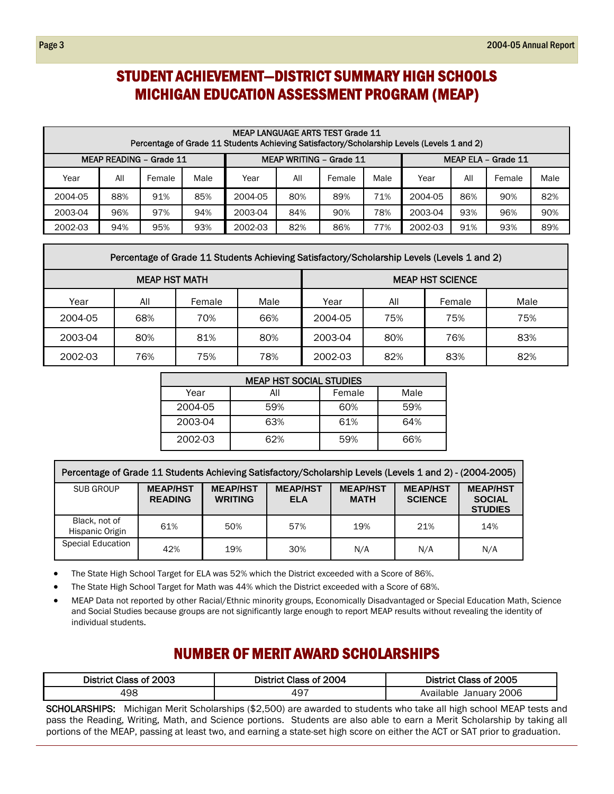## STUDENT ACHIEVEMENT—DISTRICT SUMMARY HIGH SCHOOLS MICHIGAN EDUCATION ASSESSMENT PROGRAM (MEAP)

|                         | <b>MEAP LANGUAGE ARTS TEST Grade 11</b><br>Percentage of Grade 11 Students Achieving Satisfactory/Scholarship Levels (Levels 1 and 2) |        |      |         |     |                                |      |         |                                              |     |     |  |
|-------------------------|---------------------------------------------------------------------------------------------------------------------------------------|--------|------|---------|-----|--------------------------------|------|---------|----------------------------------------------|-----|-----|--|
| MEAP READING - Grade 11 |                                                                                                                                       |        |      |         |     | <b>MEAP WRITING - Grade 11</b> |      |         | MEAP ELA - Grade 11<br>Male<br>All<br>Female |     |     |  |
| Year                    | All                                                                                                                                   | Female | Male | Year    | All | Female                         | Male | Year    |                                              |     |     |  |
| 2004-05                 | 88%                                                                                                                                   | 91%    | 85%  | 2004-05 | 80% | 89%                            | 71%  | 2004-05 | 86%                                          | 90% | 82% |  |
| 2003-04                 | 96%                                                                                                                                   | 97%    | 94%  | 2003-04 | 84% | 90%                            | 78%  | 2003-04 | 93%                                          | 96% | 90% |  |
| 2002-03                 | 94%                                                                                                                                   | 95%    | 93%  | 2002-03 | 82% | 86%                            | 77%  | 2002-03 | 91%                                          | 93% | 89% |  |

| Percentage of Grade 11 Students Achieving Satisfactory/Scholarship Levels (Levels 1 and 2) |
|--------------------------------------------------------------------------------------------|
|                                                                                            |

|         | <b>MEAP HST MATH</b> |        |      | <b>MEAP HST SCIENCE</b> |     |        |      |  |  |
|---------|----------------------|--------|------|-------------------------|-----|--------|------|--|--|
| Year    | All                  | Female | Male | Year                    | All | Female | Male |  |  |
| 2004-05 | 68%                  | 70%    | 66%  | 2004-05                 | 75% | 75%    | 75%  |  |  |
| 2003-04 | 80%                  | 81%    | 80%  | 2003-04                 | 80% | 76%    | 83%  |  |  |
| 2002-03 | 76%                  | 75%    | 78%  | 2002-03                 | 82% | 83%    | 82%  |  |  |

| <b>MEAP HST SOCIAL STUDIES</b> |     |        |      |  |  |  |  |  |  |
|--------------------------------|-----|--------|------|--|--|--|--|--|--|
| Year                           | All | Female | Male |  |  |  |  |  |  |
| 2004-05                        | 59% | 60%    | 59%  |  |  |  |  |  |  |
| 2003-04                        | 63% | 61%    | 64%  |  |  |  |  |  |  |
| 2002-03                        | 62% | 59%    | 66%  |  |  |  |  |  |  |

| Percentage of Grade 11 Students Achieving Satisfactory/Scholarship Levels (Levels 1 and 2) - (2004-2005) |                                   |                                   |                               |                                |                                   |                                                    |  |  |  |  |  |
|----------------------------------------------------------------------------------------------------------|-----------------------------------|-----------------------------------|-------------------------------|--------------------------------|-----------------------------------|----------------------------------------------------|--|--|--|--|--|
| SUB GROUP                                                                                                | <b>MEAP/HST</b><br><b>READING</b> | <b>MEAP/HST</b><br><b>WRITING</b> | <b>MEAP/HST</b><br><b>ELA</b> | <b>MEAP/HST</b><br><b>MATH</b> | <b>MEAP/HST</b><br><b>SCIENCE</b> | <b>MEAP/HST</b><br><b>SOCIAL</b><br><b>STUDIES</b> |  |  |  |  |  |
| Black, not of<br>Hispanic Origin                                                                         | 61%                               | 50%                               | 57%                           | 19%                            | 21%                               | 14%                                                |  |  |  |  |  |
| <b>Special Education</b>                                                                                 | 42%                               | 19%                               | 30%                           | N/A                            | N/A                               | N/A                                                |  |  |  |  |  |

• The State High School Target for ELA was 52% which the District exceeded with a Score of 86%.

• The State High School Target for Math was 44% which the District exceeded with a Score of 68%.

• MEAP Data not reported by other Racial/Ethnic minority groups, Economically Disadvantaged or Special Education Math, Science and Social Studies because groups are not significantly large enough to report MEAP results without revealing the identity of individual students.

#### NUMBER OF MERIT AWARD SCHOLARSHIPS

| District Class of 2003 | District Class of 2004 | District Class of 2005       |
|------------------------|------------------------|------------------------------|
| 498                    | 497                    | 2006<br>Available<br>January |

SCHOLARSHIPS: Michigan Merit Scholarships (\$2,500) are awarded to students who take all high school MEAP tests and pass the Reading, Writing, Math, and Science portions. Students are also able to earn a Merit Scholarship by taking all portions of the MEAP, passing at least two, and earning a state-set high score on either the ACT or SAT prior to graduation.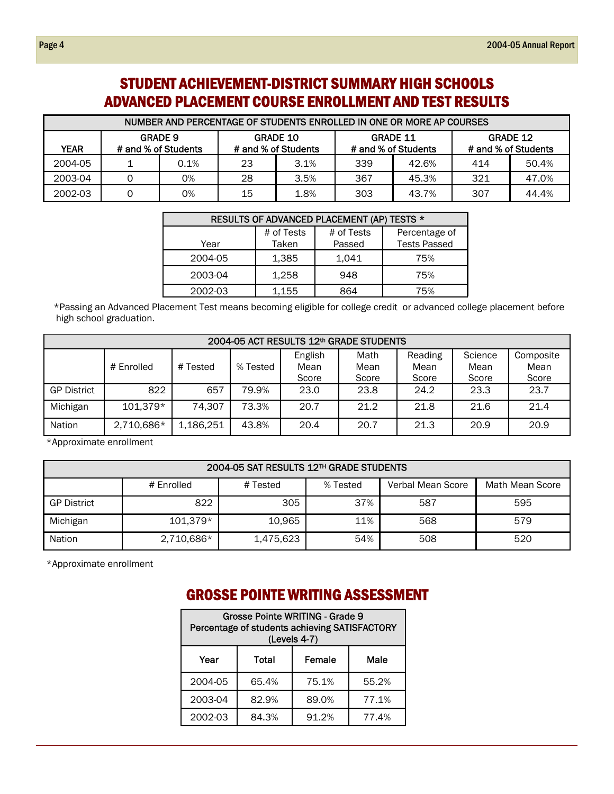# STUDENT ACHIEVEMENT-DISTRICT SUMMARY HIGH SCHOOLS ADVANCED PLACEMENT COURSE ENROLLMENT AND TEST RESULTS

| NUMBER AND PERCENTAGE OF STUDENTS ENROLLED IN ONE OR MORE AP COURSES |                                       |      |    |                                        |     |                                        |                                        |       |  |  |  |
|----------------------------------------------------------------------|---------------------------------------|------|----|----------------------------------------|-----|----------------------------------------|----------------------------------------|-------|--|--|--|
| YEAR                                                                 | <b>GRADE 9</b><br># and % of Students |      |    | <b>GRADE 10</b><br># and % of Students |     | <b>GRADE 11</b><br># and % of Students | <b>GRADE 12</b><br># and % of Students |       |  |  |  |
| 2004-05                                                              |                                       | 0.1% | 23 | 3.1%                                   | 339 | 42.6%                                  | 414                                    | 50.4% |  |  |  |
| 2003-04                                                              |                                       | 0%   | 28 | 3.5%                                   | 367 | 45.3%                                  | 321                                    | 47.0% |  |  |  |
| 2002-03                                                              |                                       | 0%   | 15 | 1.8%                                   | 303 | 43.7%                                  | 307                                    | 44.4% |  |  |  |

|         |                     | RESULTS OF ADVANCED PLACEMENT (AP) TESTS * |                                      |
|---------|---------------------|--------------------------------------------|--------------------------------------|
| Year    | # of Tests<br>Taken | # of Tests<br>Passed                       | Percentage of<br><b>Tests Passed</b> |
| 2004-05 | 1,385               | 1.041                                      | 75%                                  |
| 2003-04 | 1,258               | 948                                        | 75%                                  |
| 2002-03 | 1,155               | 864                                        | 75%                                  |

\*Passing an Advanced Placement Test means becoming eligible for college credit or advanced college placement before high school graduation.

|                    | 2004-05 ACT RESULTS 12th GRADE STUDENTS |           |          |                          |                       |                          |                          |                            |  |  |  |  |
|--------------------|-----------------------------------------|-----------|----------|--------------------------|-----------------------|--------------------------|--------------------------|----------------------------|--|--|--|--|
|                    | # Tested<br># Enrolled                  |           | % Tested | English<br>Mean<br>Score | Math<br>Mean<br>Score | Reading<br>Mean<br>Score | Science<br>Mean<br>Score | Composite<br>Mean<br>Score |  |  |  |  |
| <b>GP District</b> | 822                                     | 657       | 79.9%    | 23.0                     | 23.8                  | 24.2                     | 23.3                     | 23.7                       |  |  |  |  |
| Michigan           | 101,379*                                | 74,307    | 73.3%    | 20.7                     | 21.2                  | 21.8                     | 21.6                     | 21.4                       |  |  |  |  |
| <b>Nation</b>      | 2,710,686*                              | 1,186,251 | 43.8%    | 20.4                     | 20.7                  | 21.3                     | 20.9                     | 20.9                       |  |  |  |  |

\*Approximate enrollment

#### 2004-05 SAT RESULTS 12TH GRADE STUDENTS # Enrolled | # Tested | % Tested | Verbal Mean Score | Math Mean Score GP District 822 | 305 | 37% | 587 | 595 Michigan 101,379\* 10,965 11% 568 579 579 Nation 2,710,686\* | 1,475,623 | 54% | 508 | 520

\*Approximate enrollment

#### GROSSE POINTE WRITING ASSESSMENT

| Grosse Pointe WRITING - Grade 9<br>Percentage of students achieving SATISFACTORY<br>(Levels 4-7) |       |        |       |  |  |  |  |  |
|--------------------------------------------------------------------------------------------------|-------|--------|-------|--|--|--|--|--|
| Year                                                                                             | Total | Female | Male  |  |  |  |  |  |
| 2004-05                                                                                          | 65.4% | 75.1%  | 55.2% |  |  |  |  |  |
| 2003-04                                                                                          | 82.9% | 89.0%  | 77.1% |  |  |  |  |  |
| 2002-03                                                                                          | 84.3% | 91.2%  | 77.4% |  |  |  |  |  |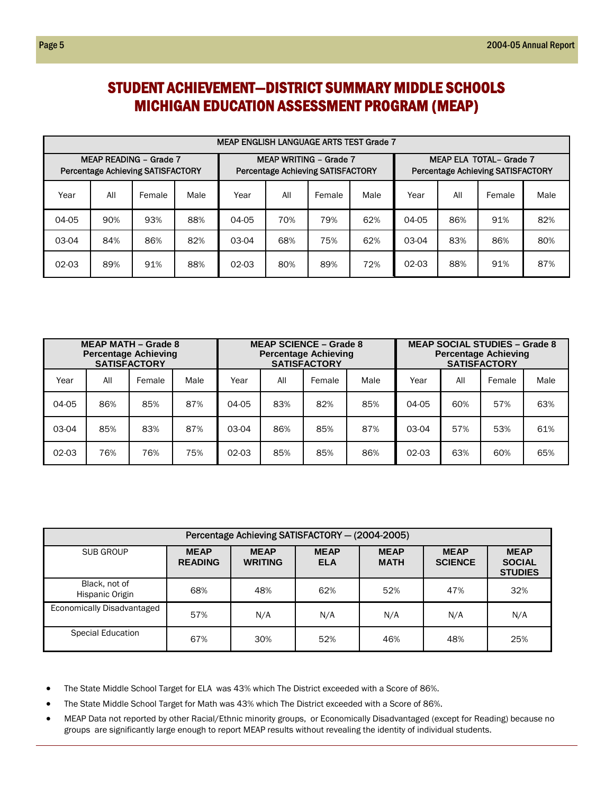## STUDENT ACHIEVEMENT—DISTRICT SUMMARY MIDDLE SCHOOLS MICHIGAN EDUCATION ASSESSMENT PROGRAM (MEAP)

|                                                                           | <b>MEAP ENGLISH LANGUAGE ARTS TEST Grade 7</b> |        |      |         |     |                                                                           |      |         |     |                                                                            |      |  |
|---------------------------------------------------------------------------|------------------------------------------------|--------|------|---------|-----|---------------------------------------------------------------------------|------|---------|-----|----------------------------------------------------------------------------|------|--|
| <b>MEAP READING - Grade 7</b><br><b>Percentage Achieving SATISFACTORY</b> |                                                |        |      |         |     | <b>MEAP WRITING - Grade 7</b><br><b>Percentage Achieving SATISFACTORY</b> |      |         |     | <b>MEAP ELA TOTAL- Grade 7</b><br><b>Percentage Achieving SATISFACTORY</b> |      |  |
| Year                                                                      | All                                            | Female | Male | Year    | All | Female                                                                    | Male | Year    | All | Female                                                                     | Male |  |
| 04-05                                                                     | 90%                                            | 93%    | 88%  | 04-05   | 70% | 79%                                                                       | 62%  | 04-05   | 86% | 91%                                                                        | 82%  |  |
| 03-04                                                                     | 84%                                            | 86%    | 82%  | 03-04   | 68% | 75%                                                                       | 62%  | 03-04   | 83% | 86%                                                                        | 80%  |  |
| $02-03$                                                                   | 89%                                            | 91%    | 88%  | $02-03$ | 80% | 89%                                                                       | 72%  | $02-03$ | 88% | 91%                                                                        | 87%  |  |

| <b>MEAP MATH - Grade 8</b><br><b>Percentage Achieving</b><br><b>SATISFACTORY</b> |     |        |      |         |     | <b>MEAP SCIENCE – Grade 8</b><br><b>Percentage Achieving</b><br><b>SATISFACTORY</b> |      | <b>MEAP SOCIAL STUDIES - Grade 8</b><br><b>Percentage Achieving</b><br><b>SATISFACTORY</b> |     |        |      |
|----------------------------------------------------------------------------------|-----|--------|------|---------|-----|-------------------------------------------------------------------------------------|------|--------------------------------------------------------------------------------------------|-----|--------|------|
| Year                                                                             | All | Female | Male | Year    | All | Female                                                                              | Male | Year                                                                                       | All | Female | Male |
| 04-05                                                                            | 86% | 85%    | 87%  | 04-05   | 83% | 82%                                                                                 | 85%  | 04-05                                                                                      | 60% | 57%    | 63%  |
| 03-04                                                                            | 85% | 83%    | 87%  | 03-04   | 86% | 85%                                                                                 | 87%  | 03-04                                                                                      | 57% | 53%    | 61%  |
| $02 - 03$                                                                        | 76% | 76%    | 75%  | $02-03$ | 85% | 85%                                                                                 | 86%  | $02-03$                                                                                    | 63% | 60%    | 65%  |

| Percentage Achieving SATISFACTORY - (2004-2005) |                               |                               |                           |                            |                               |                                                |  |  |  |  |
|-------------------------------------------------|-------------------------------|-------------------------------|---------------------------|----------------------------|-------------------------------|------------------------------------------------|--|--|--|--|
| SUB GROUP                                       | <b>MEAP</b><br><b>READING</b> | <b>MEAP</b><br><b>WRITING</b> | <b>MEAP</b><br><b>ELA</b> | <b>MEAP</b><br><b>MATH</b> | <b>MEAP</b><br><b>SCIENCE</b> | <b>MEAP</b><br><b>SOCIAL</b><br><b>STUDIES</b> |  |  |  |  |
| Black, not of<br>Hispanic Origin                | 68%                           | 48%                           | 62%                       | 52%                        | 47%                           | 32%                                            |  |  |  |  |
| Economically Disadvantaged                      | 57%                           | N/A                           | N/A                       | N/A                        | N/A                           | N/A                                            |  |  |  |  |
| Special Education                               | 67%                           | 30%                           | 52%                       | 46%                        | 48%                           | 25%                                            |  |  |  |  |

- The State Middle School Target for ELA was 43% which The District exceeded with a Score of 86%.
- The State Middle School Target for Math was 43% which The District exceeded with a Score of 86%.
- MEAP Data not reported by other Racial/Ethnic minority groups, or Economically Disadvantaged (except for Reading) because no groups are significantly large enough to report MEAP results without revealing the identity of individual students.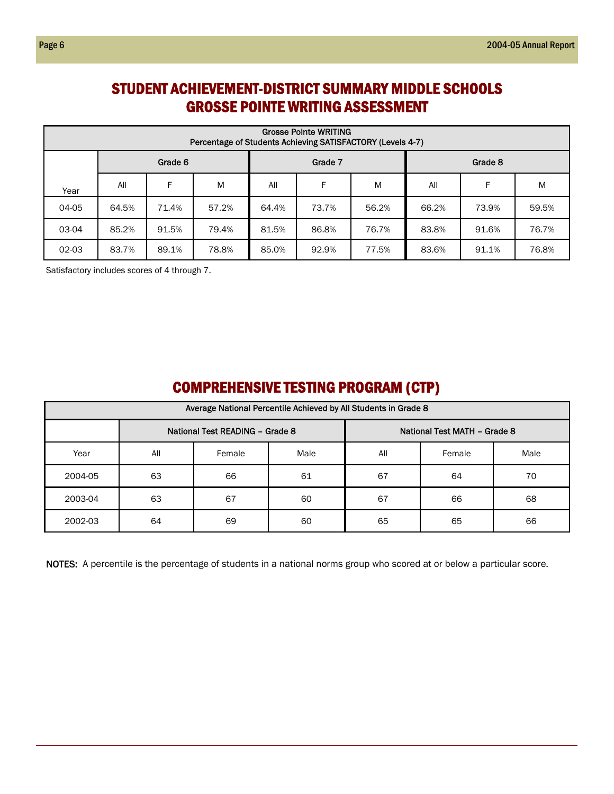## STUDENT ACHIEVEMENT-DISTRICT SUMMARY MIDDLE SCHOOLS GROSSE POINTE WRITING ASSESSMENT

|       | <b>Grosse Pointe WRITING</b><br>Percentage of Students Achieving SATISFACTORY (Levels 4-7) |         |       |       |         |       |         |       |       |  |  |
|-------|--------------------------------------------------------------------------------------------|---------|-------|-------|---------|-------|---------|-------|-------|--|--|
|       |                                                                                            | Grade 6 |       |       | Grade 7 |       | Grade 8 |       |       |  |  |
| Year  | All                                                                                        | F       | M     | All   | F       | M     | All     | F     | M     |  |  |
| 04-05 | 64.5%                                                                                      | 71.4%   | 57.2% | 64.4% | 73.7%   | 56.2% | 66.2%   | 73.9% | 59.5% |  |  |
| 03-04 | 85.2%                                                                                      | 91.5%   | 79.4% | 81.5% | 86.8%   | 76.7% | 83.8%   | 91.6% | 76.7% |  |  |
| 02-03 | 83.7%                                                                                      | 89.1%   | 78.8% | 85.0% | 92.9%   | 77.5% | 83.6%   | 91.1% | 76.8% |  |  |

Satisfactory includes scores of 4 through 7.

# COMPREHENSIVE TESTING PROGRAM (CTP)

| Average National Percentile Achieved by All Students in Grade 8 |     |                                 |      |     |                              |      |  |  |  |  |
|-----------------------------------------------------------------|-----|---------------------------------|------|-----|------------------------------|------|--|--|--|--|
|                                                                 |     | National Test READING - Grade 8 |      |     | National Test MATH - Grade 8 |      |  |  |  |  |
| Year                                                            | All | Female                          | Male | All | Female                       | Male |  |  |  |  |
| 2004-05                                                         | 63  | 66                              | 61   | 67  | 64                           | 70   |  |  |  |  |
| 2003-04                                                         | 63  | 67                              | 60   | 67  | 66                           | 68   |  |  |  |  |
| 2002-03                                                         | 64  | 69                              | 60   | 65  | 65                           | 66   |  |  |  |  |

NOTES: A percentile is the percentage of students in a national norms group who scored at or below a particular score.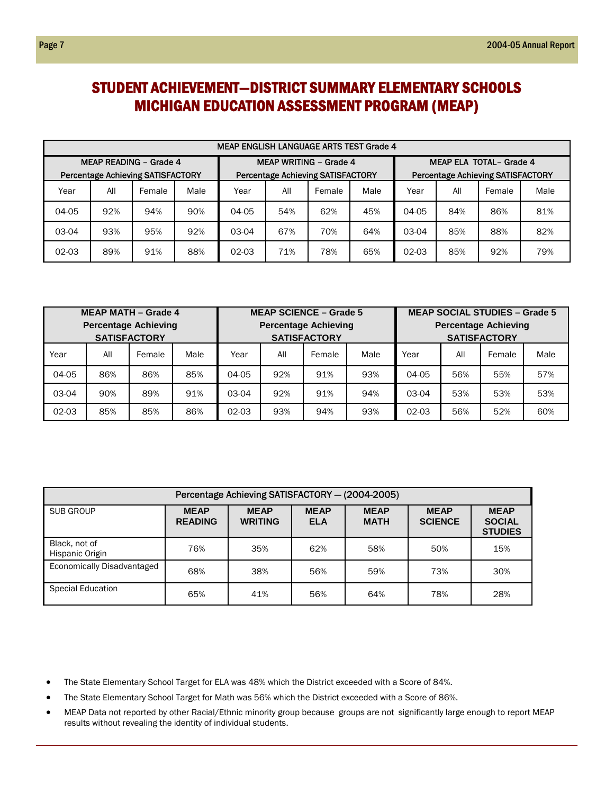## STUDENT ACHIEVEMENT—DISTRICT SUMMARY ELEMENTARY SCHOOLS MICHIGAN EDUCATION ASSESSMENT PROGRAM (MEAP)

|       | <b>MEAP ENGLISH LANGUAGE ARTS TEST Grade 4</b> |        |      |                               |     |                                          |      |                                                                     |     |        |      |  |
|-------|------------------------------------------------|--------|------|-------------------------------|-----|------------------------------------------|------|---------------------------------------------------------------------|-----|--------|------|--|
|       | <b>MEAP READING - Grade 4</b>                  |        |      | <b>MEAP WRITING - Grade 4</b> |     |                                          |      | MEAP ELA TOTAL- Grade 4<br><b>Percentage Achieving SATISFACTORY</b> |     |        |      |  |
|       | Percentage Achieving SATISFACTORY              |        |      |                               |     | <b>Percentage Achieving SATISFACTORY</b> |      |                                                                     |     |        |      |  |
| Year  | All                                            | Female | Male | Year                          | All | Female                                   | Male | Year                                                                | All | Female | Male |  |
| 04-05 | 92%                                            | 94%    | 90%  | 04-05                         | 54% | 62%                                      | 45%  | 04-05                                                               | 84% | 86%    | 81%  |  |
| 03-04 | 93%                                            | 95%    | 92%  | 03-04                         | 67% | 70%                                      | 64%  | 03-04                                                               | 85% | 88%    | 82%  |  |
| 02-03 | 89%                                            | 91%    | 88%  | 02-03                         | 71% | 78%                                      | 65%  | 02-03                                                               | 85% | 92%    | 79%  |  |

|                             |     | <b>MEAP MATH - Grade 4</b> |      | <b>MEAP SCIENCE - Grade 5</b> |     |        |      | <b>MEAP SOCIAL STUDIES - Grade 5</b> |     |        |      |  |
|-----------------------------|-----|----------------------------|------|-------------------------------|-----|--------|------|--------------------------------------|-----|--------|------|--|
| <b>Percentage Achieving</b> |     |                            |      | <b>Percentage Achieving</b>   |     |        |      | <b>Percentage Achieving</b>          |     |        |      |  |
|                             |     | <b>SATISFACTORY</b>        |      | <b>SATISFACTORY</b>           |     |        |      | <b>SATISFACTORY</b>                  |     |        |      |  |
| Year                        | All | Female                     | Male | Year                          | All | Female | Male | Year                                 | All | Female | Male |  |
| 04-05                       | 86% | 86%                        | 85%  | 04-05                         | 92% | 91%    | 93%  | 04-05                                | 56% | 55%    | 57%  |  |
| 03-04                       | 90% | 89%                        | 91%  | 03-04                         | 92% | 91%    | 94%  | 03-04                                | 53% | 53%    | 53%  |  |
| 02-03                       | 85% | 85%                        | 86%  | 93%<br>94%<br>93%<br>02-03    |     |        |      | $02-03$                              | 56% | 52%    | 60%  |  |

| Percentage Achieving SATISFACTORY - (2004-2005) |                               |                               |                           |                            |                               |                                                |  |  |  |
|-------------------------------------------------|-------------------------------|-------------------------------|---------------------------|----------------------------|-------------------------------|------------------------------------------------|--|--|--|
| SUB GROUP                                       | <b>MEAP</b><br><b>READING</b> | <b>MEAP</b><br><b>WRITING</b> | <b>MEAP</b><br><b>ELA</b> | <b>MEAP</b><br><b>MATH</b> | <b>MEAP</b><br><b>SCIENCE</b> | <b>MEAP</b><br><b>SOCIAL</b><br><b>STUDIES</b> |  |  |  |
| Black, not of<br>Hispanic Origin                | 76%                           | 35%                           | 62%                       | 58%                        | 50%                           | 15%                                            |  |  |  |
| Economically Disadvantaged                      | 68%                           | 38%                           | 56%                       | 59%                        | 73%                           | 30%                                            |  |  |  |
| <b>Special Education</b>                        | 65%                           | 41%                           | 56%                       | 64%                        | 78%                           | 28%                                            |  |  |  |

- The State Elementary School Target for ELA was 48% which the District exceeded with a Score of 84%.
- The State Elementary School Target for Math was 56% which the District exceeded with a Score of 86%.
- MEAP Data not reported by other Racial/Ethnic minority group because groups are not significantly large enough to report MEAP results without revealing the identity of individual students.